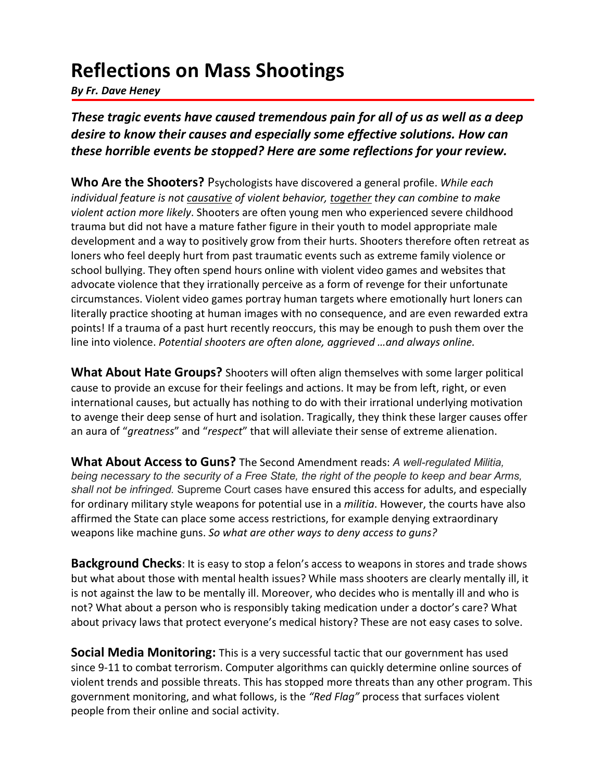## **Reflections on Mass Shootings**

*By Fr. Dave Heney*

*These tragic events have caused tremendous pain for all of us as well as a deep desire to know their causes and especially some effective solutions. How can these horrible events be stopped? Here are some reflections for your review.*

**Who Are the Shooters?** Psychologists have discovered a general profile. *While each individual feature is not causative of violent behavior, together they can combine to make violent action more likely*. Shooters are often young men who experienced severe childhood trauma but did not have a mature father figure in their youth to model appropriate male development and a way to positively grow from their hurts. Shooters therefore often retreat as loners who feel deeply hurt from past traumatic events such as extreme family violence or school bullying. They often spend hours online with violent video games and websites that advocate violence that they irrationally perceive as a form of revenge for their unfortunate circumstances. Violent video games portray human targets where emotionally hurt loners can literally practice shooting at human images with no consequence, and are even rewarded extra points! If a trauma of a past hurt recently reoccurs, this may be enough to push them over the line into violence. *Potential shooters are often alone, aggrieved …and always online.*

**What About Hate Groups?** Shooters will often align themselves with some larger political cause to provide an excuse for their feelings and actions. It may be from left, right, or even international causes, but actually has nothing to do with their irrational underlying motivation to avenge their deep sense of hurt and isolation. Tragically, they think these larger causes offer an aura of "*greatness*" and "*respect*" that will alleviate their sense of extreme alienation.

**What About Access to Guns?** The Second Amendment reads: *A well-regulated Militia, being necessary to the security of a Free State, the right of the people to keep and bear Arms, shall not be infringed.* Supreme Court cases have ensured this access for adults, and especially for ordinary military style weapons for potential use in a *militia*. However, the courts have also affirmed the State can place some access restrictions, for example denying extraordinary weapons like machine guns. *So what are other ways to deny access to guns?*

**Background Checks**: It is easy to stop a felon's access to weapons in stores and trade shows but what about those with mental health issues? While mass shooters are clearly mentally ill, it is not against the law to be mentally ill. Moreover, who decides who is mentally ill and who is not? What about a person who is responsibly taking medication under a doctor's care? What about privacy laws that protect everyone's medical history? These are not easy cases to solve.

**Social Media Monitoring:** This is a very successful tactic that our government has used since 9-11 to combat terrorism. Computer algorithms can quickly determine online sources of violent trends and possible threats. This has stopped more threats than any other program. This government monitoring, and what follows, is the *"Red Flag"* process that surfaces violent people from their online and social activity.